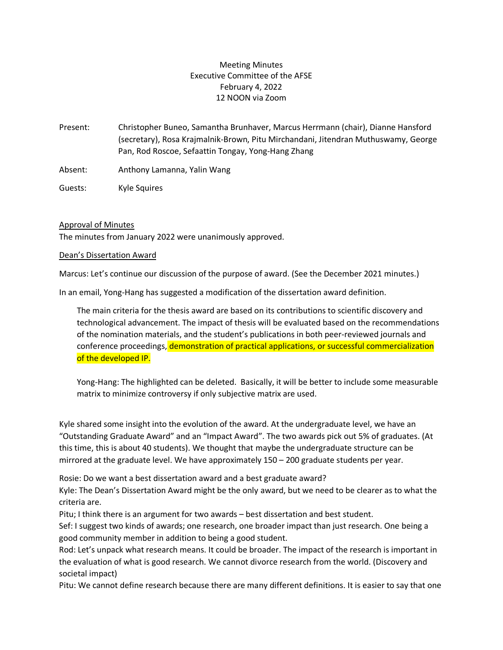# Meeting Minutes Executive Committee of the AFSE February 4, 2022 12 NOON via Zoom

Present: Christopher Buneo, Samantha Brunhaver, Marcus Herrmann (chair), Dianne Hansford (secretary), Rosa Krajmalnik-Brown, Pitu Mirchandani, Jitendran Muthuswamy, George Pan, Rod Roscoe, Sefaattin Tongay, Yong-Hang Zhang

Absent: Anthony Lamanna, Yalin Wang

Guests: Kyle Squires

### Approval of Minutes

The minutes from January 2022 were unanimously approved.

#### Dean's Dissertation Award

Marcus: Let's continue our discussion of the purpose of award. (See the December 2021 minutes.)

In an email, Yong-Hang has suggested a modification of the dissertation award definition.

The main criteria for the thesis award are based on its contributions to scientific discovery and technological advancement. The impact of thesis will be evaluated based on the recommendations of the nomination materials, and the student's publications in both peer-reviewed journals and conference proceedings, demonstration of practical applications, or successful commercialization of the developed IP.

Yong-Hang: The highlighted can be deleted. Basically, it will be better to include some measurable matrix to minimize controversy if only subjective matrix are used.

Kyle shared some insight into the evolution of the award. At the undergraduate level, we have an "Outstanding Graduate Award" and an "Impact Award". The two awards pick out 5% of graduates. (At this time, this is about 40 students). We thought that maybe the undergraduate structure can be mirrored at the graduate level. We have approximately 150 – 200 graduate students per year.

Rosie: Do we want a best dissertation award and a best graduate award?

Kyle: The Dean's Dissertation Award might be the only award, but we need to be clearer as to what the criteria are.

Pitu; I think there is an argument for two awards – best dissertation and best student.

Sef: I suggest two kinds of awards; one research, one broader impact than just research. One being a good community member in addition to being a good student.

Rod: Let's unpack what research means. It could be broader. The impact of the research is important in the evaluation of what is good research. We cannot divorce research from the world. (Discovery and societal impact)

Pitu: We cannot define research because there are many different definitions. It is easier to say that one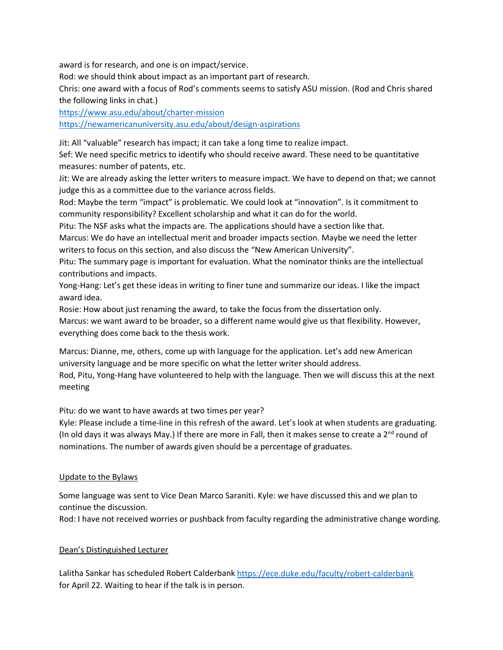award is for research, and one is on impact/service.

Rod: we should think about impact as an important part of research.

Chris: one award with a focus of Rod's comments seems to satisfy ASU mission. (Rod and Chris shared the following links in chat.)

<https://www.asu.edu/about/charter-mission> <https://newamericanuniversity.asu.edu/about/design-aspirations>

Jit: All "valuable" research has impact; it can take a long time to realize impact.

Sef: We need specific metrics to identify who should receive award. These need to be quantitative measures: number of patents, etc.

Jit: We are already asking the letter writers to measure impact. We have to depend on that; we cannot judge this as a committee due to the variance across fields.

Rod: Maybe the term "impact" is problematic. We could look at "innovation". Is it commitment to community responsibility? Excellent scholarship and what it can do for the world.

Pitu: The NSF asks what the impacts are. The applications should have a section like that.

Marcus: We do have an intellectual merit and broader impacts section. Maybe we need the letter writers to focus on this section, and also discuss the "New American University".

Pitu: The summary page is important for evaluation. What the nominator thinks are the intellectual contributions and impacts.

Yong-Hang: Let's get these ideas in writing to finer tune and summarize our ideas. I like the impact award idea.

Rosie: How about just renaming the award, to take the focus from the dissertation only.

Marcus: we want award to be broader, so a different name would give us that flexibility. However, everything does come back to the thesis work.

Marcus: Dianne, me, others, come up with language for the application. Let's add new American university language and be more specific on what the letter writer should address.

Rod, Pitu, Yong-Hang have volunteered to help with the language. Then we will discuss this at the next meeting

Pitu: do we want to have awards at two times per year?

Kyle: Please include a time-line in this refresh of the award. Let's look at when students are graduating. (In old days it was always May.) If there are more in Fall, then it makes sense to create a 2<sup>nd</sup> round of nominations. The number of awards given should be a percentage of graduates.

#### Update to the Bylaws

Some language was sent to Vice Dean Marco Saraniti. Kyle: we have discussed this and we plan to continue the discussion.

Rod: I have not received worries or pushback from faculty regarding the administrative change wording.

#### Dean's Distinguished Lecturer

Lalitha Sankar has scheduled Robert Calderbank<https://ece.duke.edu/faculty/robert-calderbank> for April 22. Waiting to hear if the talk is in person.